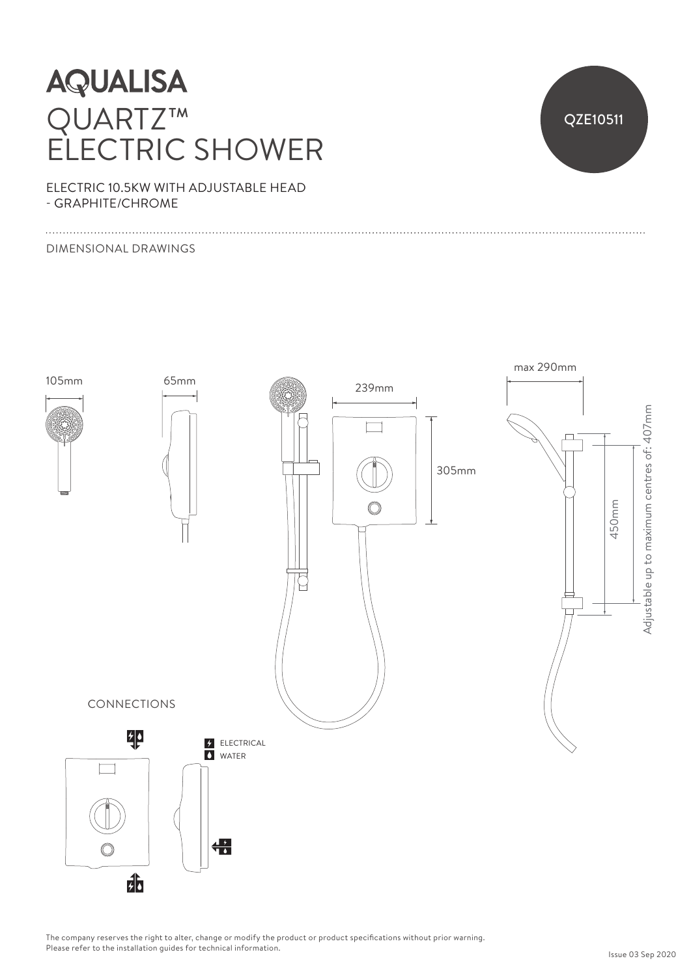## **AQUALISA** QUARTZ™ ELECTRIC SHOWER



ELECTRIC 10.5KW WITH ADJUSTABLE HEAD - GRAPHITE/CHROME

#### DIMENSIONAL DRAWINGS



The company reserves the right to alter, change or modify the product or product specifications without prior warning. Please refer to the installation guides for technical information.